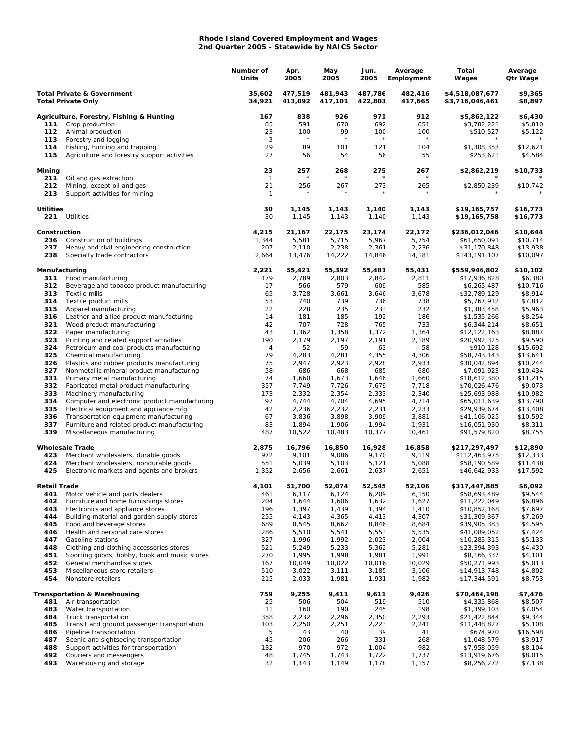## **Rhode Island Covered Employment and Wages 2nd Quarter 2005 - Statewide by NAICS Sector**

|                                                                    |                                                                                          | Number of<br>Units   | Apr.<br>2005       | May<br>2005        | Jun.<br>2005       | Average<br>Employment | Total<br>Wages                     | Average<br>Qtr Wage  |
|--------------------------------------------------------------------|------------------------------------------------------------------------------------------|----------------------|--------------------|--------------------|--------------------|-----------------------|------------------------------------|----------------------|
| <b>Total Private &amp; Government</b><br><b>Total Private Only</b> |                                                                                          | 35,602<br>34,921     | 477,519<br>413,092 | 481,943<br>417,101 | 487,786<br>422,803 | 482,416<br>417,665    | \$4,518,087,677<br>\$3,716,046,461 | \$9,365<br>\$8,897   |
|                                                                    | Agriculture, Forestry, Fishing & Hunting                                                 | 167                  | 838                | 926                | 971                | 912                   | \$5,862,122                        | \$6,430              |
| 111                                                                | Crop production                                                                          | 85                   | 591                | 670                | 692                | 651                   | \$3,782,221                        | \$5,810              |
| 112<br>113                                                         | Animal production<br>Forestry and logging                                                | 23<br>3              | 100<br>$\star$     | 99<br>$\star$      | 100<br>$\star$     | 100<br>$\star$        | \$510,527                          | \$5,122              |
| 114                                                                | Fishing, hunting and trapping                                                            | 29                   | 89                 | 101                | 121                | 104                   | \$1,308,353                        | \$12,621             |
| 115                                                                | Agriculture and forestry support activities                                              | 27                   | 56                 | 54                 | 56                 | 55                    | \$253,621                          | \$4,584              |
| Mining<br>211                                                      | Oil and gas extraction                                                                   | 23<br>$\overline{1}$ | 257                | 268                | 275                | 267                   | \$2,862,219                        | \$10,733             |
| 212                                                                | Mining, except oil and gas                                                               | 21                   | 256                | 267                | 273                | 265                   | \$2,850,239                        | \$10,742             |
| 213                                                                | Support activities for mining                                                            | $\mathbf{1}$         |                    |                    |                    |                       |                                    |                      |
| <b>Utilities</b><br>221                                            | Utilities                                                                                | 30<br>30             | 1,145<br>1,145     | 1,143<br>1,143     | 1,140<br>1,140     | 1,143<br>1,143        | \$19,165,757<br>\$19,165,758       | \$16,773<br>\$16,773 |
| Construction                                                       |                                                                                          | 4,215                | 21,167             | 22,175             | 23,174             | 22,172                | \$236,012,046                      | \$10,644             |
| 236                                                                | Construction of buildings                                                                | 1,344                | 5,581              | 5,715              | 5,967              | 5,754                 | \$61,650,091                       | \$10,714             |
| 237                                                                | Heavy and civil engineering construction                                                 | 207                  | 2,110              | 2,238              | 2,361              | 2,236                 | \$31,170,848                       | \$13,938             |
| 238                                                                | Specialty trade contractors                                                              | 2,664                | 13,476             | 14,222             | 14,846             | 14,181                | \$143,191,107                      | \$10,097             |
| Manufacturing<br>311<br>Food manufacturing                         |                                                                                          | 2,221<br>179         | 55,421<br>2,789    | 55,392<br>2,803    | 55,481<br>2,842    | 55,431<br>2,811       | \$559,946,802<br>\$17,936,828      | \$10,102<br>\$6,380  |
| 312                                                                | Beverage and tobacco product manufacturing                                               | 17                   | 566                | 579                | 609                | 585                   | \$6,265,487                        | \$10,716             |
| 313                                                                | Textile mills                                                                            | 65                   | 3,728              | 3,661              | 3,646              | 3,678                 | \$32,789,129                       | \$8,914              |
| 314                                                                | Textile product mills                                                                    | 53                   | 740                | 739                | 736                | 738                   | \$5,767,912                        | \$7,812              |
| 315<br>316                                                         | Apparel manufacturing<br>Leather and allied product manufacturing                        | 22<br>14             | 228<br>181         | 235<br>185         | 233<br>192         | 232<br>186            | \$1,383,458<br>\$1,535,266         | \$5,963<br>\$8,254   |
| 321                                                                | Wood product manufacturing                                                               | 42                   | 707                | 728                | 765                | 733                   | \$6,344,214                        | \$8,651              |
| 322                                                                | Paper manufacturing                                                                      | 43                   | 1,362              | 1,358              | 1,372              | 1,364                 | \$12,122,163                       | \$8,887              |
| 323                                                                | Printing and related support activities                                                  | 190                  | 2,179              | 2,197              | 2,191              | 2,189                 | \$20,992,325                       | \$9,590              |
| 324                                                                | Petroleum and coal products manufacturing                                                | 4                    | 52                 | 59                 | 63                 | 58                    | \$910,128                          | \$15,692             |
| 325<br>326                                                         | Chemical manufacturing<br>Plastics and rubber products manufacturing                     | 79<br>75             | 4,283<br>2,947     | 4,281<br>2,923     | 4,355<br>2,928     | 4,306<br>2,933        | \$58,743,143<br>\$30,042,894       | \$13,641<br>\$10,244 |
| 327                                                                | Nonmetallic mineral product manufacturing                                                | 58                   | 686                | 668                | 685                | 680                   | \$7,091,923                        | \$10,434             |
| 331                                                                | Primary metal manufacturing                                                              | 74                   | 1,660              | 1,673              | 1,646              | 1,660                 | \$18,612,380                       | \$11,215             |
| 332                                                                | Fabricated metal product manufacturing                                                   | 357                  | 7,749              | 7,726              | 7,679              | 7,718                 | \$70,026,476                       | \$9,073              |
| 333                                                                | Machinery manufacturing                                                                  | 173                  | 2,332              | 2,354              | 2,333              | 2,340                 | \$25,693,988                       | \$10,982             |
| 334<br>335                                                         | Computer and electronic product manufacturing<br>Electrical equipment and appliance mfg. | 97<br>42             | 4,744<br>2,236     | 4,704<br>2,232     | 4,695<br>2,231     | 4,714<br>2,233        | \$65,011,639<br>\$29,939,674       | \$13,790<br>\$13,408 |
| 336                                                                | Transportation equipment manufacturing                                                   | 67                   | 3,836              | 3,898              | 3,909              | 3,881                 | \$41,106,025                       | \$10,592             |
| 337                                                                | Furniture and related product manufacturing                                              | 83                   | 1,894              | 1,906              | 1,994              | 1,931                 | \$16,051,930                       | \$8,311              |
| 339                                                                | Miscellaneous manufacturing                                                              | 487                  | 10,522             | 10,483             | 10,377             | 10,461                | \$91,579,820                       | \$8,755              |
|                                                                    | <b>Wholesale Trade</b>                                                                   | 2,875                | 16,796             | 16,850             | 16,928             | 16,858                | \$217,297,497                      | \$12,890             |
| 423<br>424                                                         | Merchant wholesalers, durable goods<br>Merchant wholesalers, nondurable goods            | 972<br>551           | 9,101<br>5,039     | 9,086<br>5,103     | 9,170<br>5,121     | 9,119<br>5,088        | \$112,463,975<br>\$58,190,589      | \$12,333<br>\$11,438 |
| 425                                                                | Electronic markets and agents and brokers                                                | 1,352                | 2,656              | 2,661              | 2,637              | 2,651                 | \$46,642,933                       | \$17,592             |
| <b>Retail Trade</b>                                                |                                                                                          | 4,101                | 51,700             | 52,074             | 52,545             | 52,106                | \$317,447,885                      | \$6,092              |
| 441                                                                | Motor vehicle and parts dealers                                                          | 461                  | 6,117              | 6,124              | 6,209              | 6,150                 | \$58,693,489                       | \$9,544              |
| 442<br>443                                                         | Furniture and home furnishings stores<br>Electronics and appliance stores                | 204<br>196           | 1,644<br>1,397     | 1,606<br>1,439     | 1,632<br>1,394     | 1,627<br>1,410        | \$11,222,049<br>\$10,852,168       | \$6,896<br>\$7,697   |
| 444                                                                | Building material and garden supply stores                                               | 255                  | 4,143              | 4,365              | 4,413              | 4,307                 | \$31,309,367                       | \$7,269              |
| 445                                                                | Food and beverage stores                                                                 | 689                  | 8,545              | 8,662              | 8,846              | 8,684                 | \$39,905,383                       | \$4,595              |
| 446                                                                | Health and personal care stores                                                          | 286                  | 5,510              | 5,541              | 5,553              | 5,535                 | \$41,089,052                       | \$7,424              |
| 447                                                                | Gasoline stations                                                                        | 327                  | 1,996              | 1,992              | 2,023              | 2,004                 | \$10,285,315                       | \$5,133              |
| 448<br>451                                                         | Clothing and clothing accessories stores<br>Sporting goods, hobby, book and music stores | 521<br>270           | 5,249<br>1,995     | 5,233<br>1,998     | 5,362<br>1,981     | 5,281<br>1,991        | \$23,394,393<br>\$8,166,337        | \$4,430<br>\$4,101   |
| 452                                                                | General merchandise stores                                                               | 167                  | 10,049             | 10,022             | 10,016             | 10,029                | \$50,271,993                       | \$5,013              |
| 453                                                                | Miscellaneous store retailers                                                            | 510                  | 3,022              | 3,111              | 3,185              | 3,106                 | \$14,913,748                       | \$4,802              |
| 454                                                                | Nonstore retailers                                                                       | 215                  | 2,033              | 1,981              | 1,931              | 1,982                 | \$17,344,591                       | \$8,753              |
|                                                                    | <b>Transportation &amp; Warehousing</b>                                                  | 759                  | 9,255              | 9,411              | 9,611<br>519       | 9,426                 | \$70,464,198                       | \$7,476              |
| 481<br>483                                                         | Air transportation<br>Water transportation                                               | 25<br>11             | 506<br>160         | 504<br>190         | 245                | 510<br>198            | \$4,335,868<br>\$1,399,103         | \$8,507<br>\$7,054   |
| 484                                                                | Truck transportation                                                                     | 358                  | 2,232              | 2,296              | 2,350              | 2,293                 | \$21,422,844                       | \$9,344              |
| 485                                                                | Transit and ground passenger transportation                                              | 103                  | 2,250              | 2,251              | 2,223              | 2,241                 | \$11,448,827                       | \$5,108              |
| 486                                                                | Pipeline transportation                                                                  | 5                    | 43                 | 40                 | 39                 | 41                    | \$674,970                          | \$16,598             |
| 487                                                                | Scenic and sightseeing transportation                                                    | 45                   | 206                | 266                | 331                | 268                   | \$1,048,579                        | \$3,917              |
| 488<br>492                                                         | Support activities for transportation<br>Couriers and messengers                         | 132<br>48            | 970<br>1,745       | 972<br>1,743       | 1,004<br>1,722     | 982<br>1,737          | \$7,958,059<br>\$13,919,676        | \$8,104<br>\$8,015   |
| 493                                                                | Warehousing and storage                                                                  | 32                   | 1,143              | 1,149              | 1,178              | 1,157                 | \$8,256,272                        | \$7,138              |